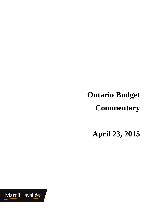**Ontario Budget Commentary** 

**April 23, 2015** 

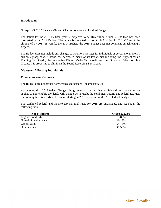#### **Introduction**

On April 23, 2015 Finance Minister Charles Sousa tabled his third Budget.

The deficit for the 2015-16 fiscal year is projected to be \$8.5 billion, which is less than had been forecasted in the 2014 Budget. The deficit is projected to drop to \$4.8 billion for 2016-17 and to be eliminated by 2017-18. Unlike the 2014 Budget, the 2015 Budget does not comment on achieving a surplus.

The Budget does not include any changes to Ontario's tax rates for individuals or corporations. From a business prospective, Ontario has decreased many of its tax credits including the Apprenticeship Training Tax Credit, the Interactive Digital Media Tax Credit and the Film and Television Tax Credits. It is proposing to eliminate the Sound Recording Tax Credit.

## **Measures Affecting Individuals**

### *Personal Income Tax Rates*

The Budget does not propose any changes to personal income tax rates.

As announced in 2015 federal Budget, the gross-up factor and federal dividend tax credit rate that applies to non-eligible dividends will change. As a result, the combined Ontario and federal tax rates for non-eligible dividends will increase starting in 2016 as a result of the 2015 federal Budget.

The combined federal and Ontario top marginal rates for 2015 are unchanged, and set out in the following table:

| <b>Type of Income</b>  | Over \$220,000 |
|------------------------|----------------|
| Eligible dividends     | 33.82%         |
| Non-eligible dividends | 40.13%         |
| Capital gains          | 24.76%         |
| Other income           | 49.53%         |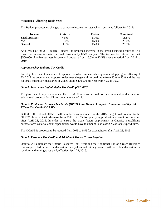# **Measures Affecting Businesses**

The Budget proposes no changes to corporate income tax rates which remain as follows for 2015:

| Income                | Ontario | Federal | Combined |
|-----------------------|---------|---------|----------|
| <b>Small Business</b> | 4.5%    | 1.0%    | 15.5%    |
| $M\&P$                | 10.0%   | 15.0%   | 25.0%    |
| General               | 11.5%   | 15.0%   | 26.5%    |

As a result of the 2015 federal Budget, the proposed increase in the small business deduction will lower the income tax rate for small business by 0.5% per year. The income tax rate on the first \$500,000 of active business income will decrease from 15.5% to 13.5% over the period from 2016 to 2019.

### *Apprenticeship Training Tax Credit*

For eligible expenditures related to apprentices who commenced an apprenticeship program after April 23, 2015 the government proposes to decrease the general tax credit rate from 35% to 25% and the rate for small business with salaries or wages under \$400,000 per year from 45% to 30%.

## *Ontario Interactive Digital Media Tax Credit (OIDMTC)*

The government proposes to amend the OIDMTC to focus the credit on entertainment products and on educational products for children under the age of 12.

## *Ontario Production Services Tax Credit (OPSTC) and Ontario Computer Animation and Special Effects Tax Credit (OCASE)*

Both the OPSTC and OCASE will be reduced as announced in the 2015 Budget. With respect to the OPSTC, this credit will decrease from 25% to 21.5% for qualifying production expenditures incurred after April 23, 2015. In order to ensure the credit fosters employment in Ontario, a qualifying corporation's Ontario labour expenditures would have to amount to at least 25% of total expenditures.

The OCASE is proposed to be reduced from 20% to 18% for expenditures after April 23, 2015.

#### *Ontario Resource Tax Credit and Additional Tax on Crown Royalties*

Ontario will eliminate the Ontario Resource Tax Credit and the Additional Tax on Crown Royalties that are provided in lieu of a deduction for royalties and mining taxes. It will provide a deduction for royalties and mining taxes paid, effective April 23, 2015.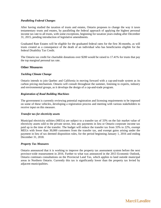### *Paralleling Federal Changes*

After having studied the taxation of trusts and estates, Ontario proposes to change the way it taxes testamentary trusts and estates, by paralleling the federal approach of applying the highest personal income tax rate to all trusts, with some exceptions, beginning for taxation years ending after December 31, 2015, pending introduction of legislative amendments.

Graduated Rate Estates will be eligible for the graduated federal rates for the first 36-months, as will trusts created as a consequence of the death of an individual who has beneficiaries eligible for the federal Disability Tax Credit.

The Ontario tax credit for charitable donations over \$200 would be raised to 17.41% for trusts that pay the top marginal personal tax rate.

### **Other Measures**

### *Tackling Climate Change*

Ontario intends to join Quebec and California in moving forward with a cap-and-trade system as its carbon pricing mechanism. Ontario will consult throughout the summer, listening to experts, industry and environmental groups, as it develops the design of a cap-and-trade program.

### *Registration of Road Building Machines*

The government is currently reviewing potential registration and licensing requirements to be imposed on some of these vehicles, developing a registration process and meeting with various stakeholders to receive input on this measure.

#### *Transfer tax for electricity assets*

Municipal electricity utilities (MEUs) are subject to a transfer tax of 33% on the fair market value of electricity assets sold to the private sector, less any payments in lieu or Ontario corporate income tax paid up to the time of the transfer. The budget will reduce the transfer tax from 33% to 22%, exempt MEUs with fewer than 30,000 customers from the transfer tax, and exempt gains arising under the payment in lieu of tax deemed disposition rules, for the period beginning January 1, 2016 and ending December 31, 2018.

#### *Property Tax Measures*

Ontario announced that it is working to improve the property tax assessment system before the next province-wide reassessment in 2016. Further to what was announced in the 2013 Economic Outlook, Ontario continues consultations on the Provincial Land Tax, which applies to land outside municipal areas in Northern Ontario. Currently this tax is significantly lower than the property tax levied by adjacent municipalities.